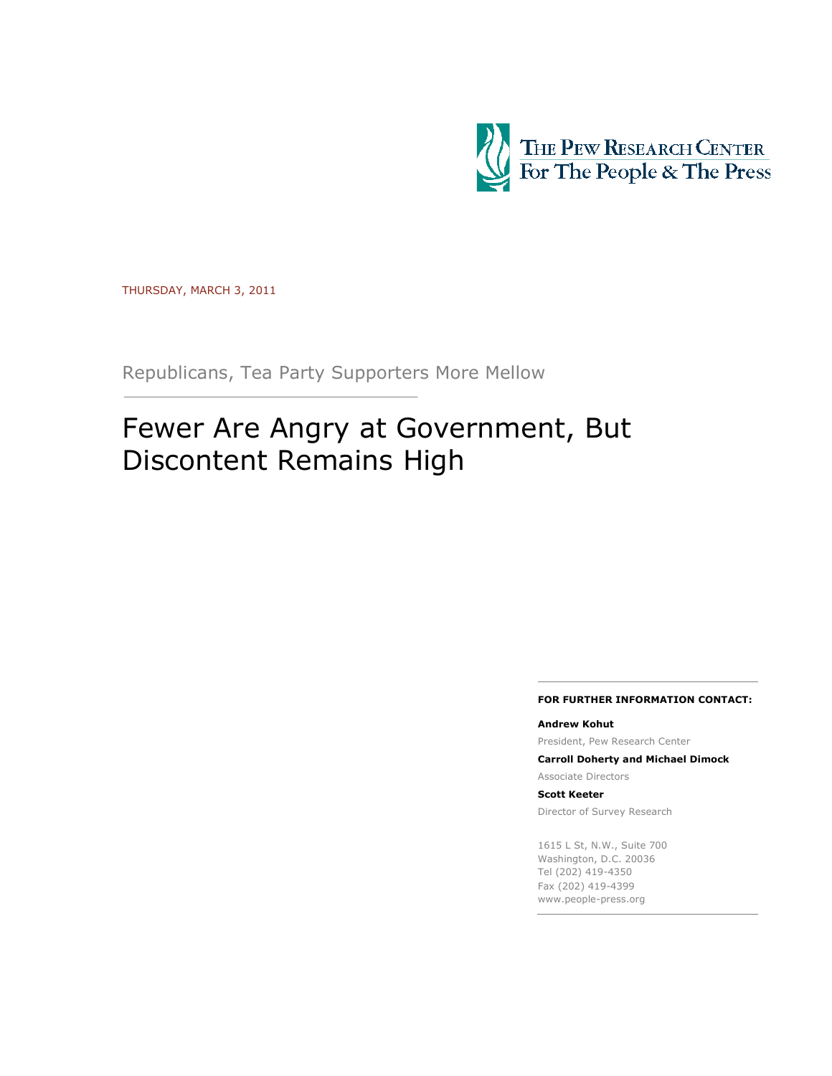

THURSDAY, MARCH 3, 2011

Republicans, Tea Party Supporters More Mellow

# Fewer Are Angry at Government, But Discontent Remains High

#### FOR FURTHER INFORMATION CONTACT:

#### Andrew Kohut

President, Pew Research Center

Carroll Doherty and Michael Dimock

Associate Directors

#### Scott Keeter

Director of Survey Research

1615 L St, N.W., Suite 700 Washington, D.C. 20036 Tel (202) 419-4350 Fax (202) 419-4399 www.people-press.org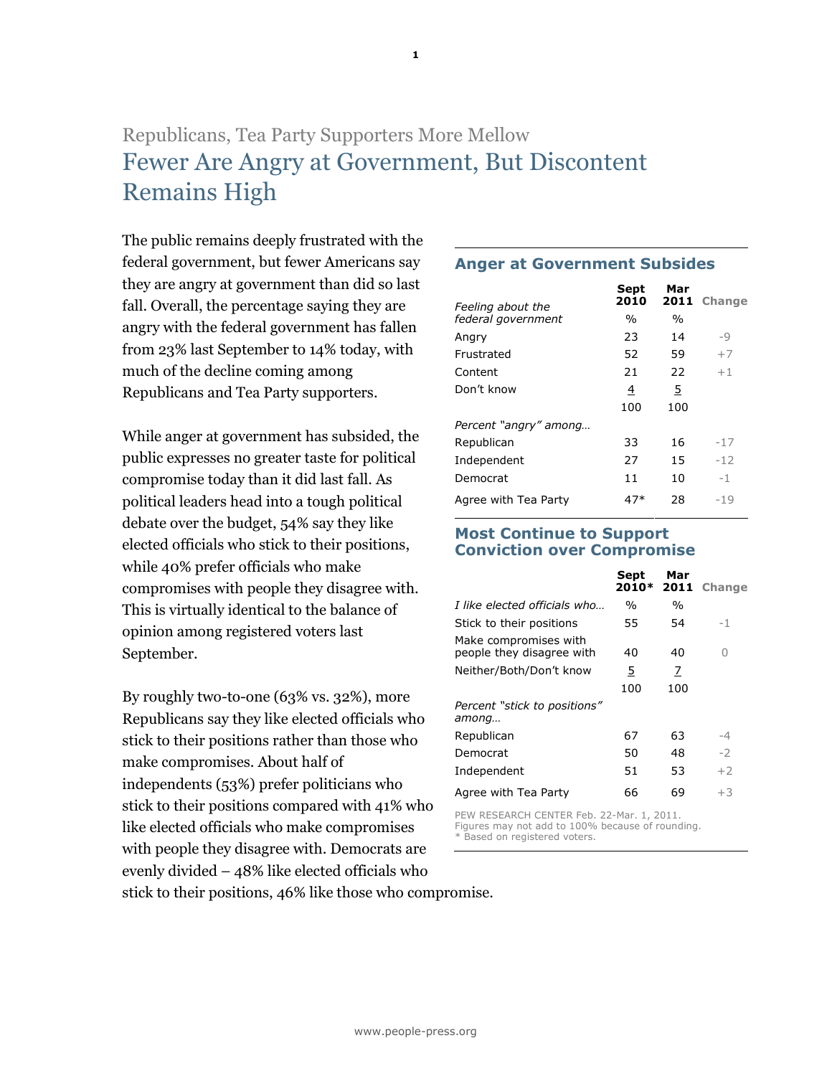# Republicans, Tea Party Supporters More Mellow Fewer Are Angry at Government, But Discontent Remains High

The public remains deeply frustrated with the federal government, but fewer Americans say they are angry at government than did so last fall. Overall, the percentage saying they are angry with the federal government has fallen from 23% last September to 14% today, with much of the decline coming among Republicans and Tea Party supporters.

While anger at government has subsided, the public expresses no greater taste for political compromise today than it did last fall. As political leaders head into a tough political debate over the budget, 54% say they like elected officials who stick to their positions, while 40% prefer officials who make compromises with people they disagree with. This is virtually identical to the balance of opinion among registered voters last September.

By roughly two-to-one (63% vs. 32%), more Republicans say they like elected officials who stick to their positions rather than those who make compromises. About half of independents (53%) prefer politicians who stick to their positions compared with 41% who like elected officials who make compromises with people they disagree with. Democrats are evenly divided – 48% like elected officials who stick to their positions, 46% like those who compromise.

### Anger at Government Subsides

|                                         | Sept<br>2010 | Mar<br>2011    | <b>Change</b> |
|-----------------------------------------|--------------|----------------|---------------|
| Feeling about the<br>federal government | $\%$         | $\frac{0}{0}$  |               |
| Angry                                   | 23           | 14             | -9            |
| Frustrated                              | 52           | 59             | $+7$          |
| Content                                 | 21           | 22             | $+1$          |
| Don't know                              | <u>4</u>     | $\overline{5}$ |               |
|                                         | 100          | 100            |               |
| Percent "angry" among                   |              |                |               |
| Republican                              | 33           | 16             | -17           |
| Independent                             | 27           | 15             | $-12$         |
| Democrat                                | 11           | 10             | $-1$          |
| Agree with Tea Party                    | 47*          | 28             | $-19$         |
|                                         |              |                |               |

#### Most Continue to Support Conviction over Compromise

|                                                    | Sept<br>2010* | Mar<br>2011 | <b>Change</b> |
|----------------------------------------------------|---------------|-------------|---------------|
| I like elected officials who                       | $\frac{0}{0}$ | %           |               |
| Stick to their positions                           | 55            | 54          | $-1$          |
| Make compromises with<br>people they disagree with | 40            | 40          | Λ             |
| Neither/Both/Don't know                            | 5             | 7           |               |
|                                                    | 100           | 100         |               |
| Percent "stick to positions"<br>among              |               |             |               |
| Republican                                         | 67            | 63          | -4            |
| Democrat                                           | 50            | 48          | $-2$          |
| Independent                                        | 51            | 53          | $+2$          |
| Agree with Tea Party                               | 66            | 69          | $+3$          |
|                                                    |               |             |               |

PEW RESEARCH CENTER Feb. 22-Mar. 1, 2011. Figures may not add to 100% because of rounding. Based on registered voters.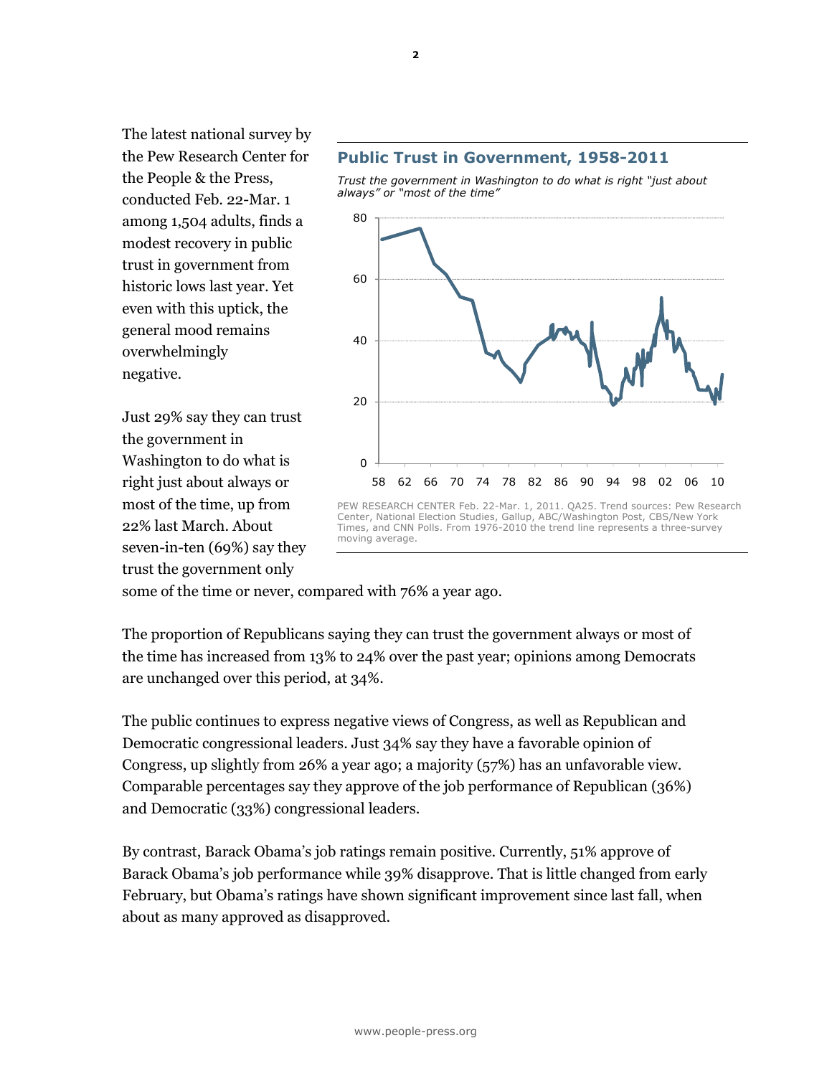The latest national survey by the Pew Research Center for the People & the Press, conducted Feb. 22-Mar. 1 among 1,504 adults, finds a modest recovery in public trust in government from historic lows last year. Yet even with this uptick, the general mood remains overwhelmingly negative.

Just 29% say they can trust the government in Washington to do what is right just about always or most of the time, up from 22% last March. About seven-in-ten (69%) say they trust the government only



Trust the government in Washington to do what is right "just about always" or "most of the time"



some of the time or never, compared with 76% a year ago.

The proportion of Republicans saying they can trust the government always or most of the time has increased from 13% to 24% over the past year; opinions among Democrats are unchanged over this period, at 34%.

The public continues to express negative views of Congress, as well as Republican and Democratic congressional leaders. Just 34% say they have a favorable opinion of Congress, up slightly from 26% a year ago; a majority (57%) has an unfavorable view. Comparable percentages say they approve of the job performance of Republican (36%) and Democratic (33%) congressional leaders.

By contrast, Barack Obama's job ratings remain positive. Currently, 51% approve of Barack Obama's job performance while 39% disapprove. That is little changed from early February, but Obama's ratings have shown significant improvement since last fall, when about as many approved as disapproved.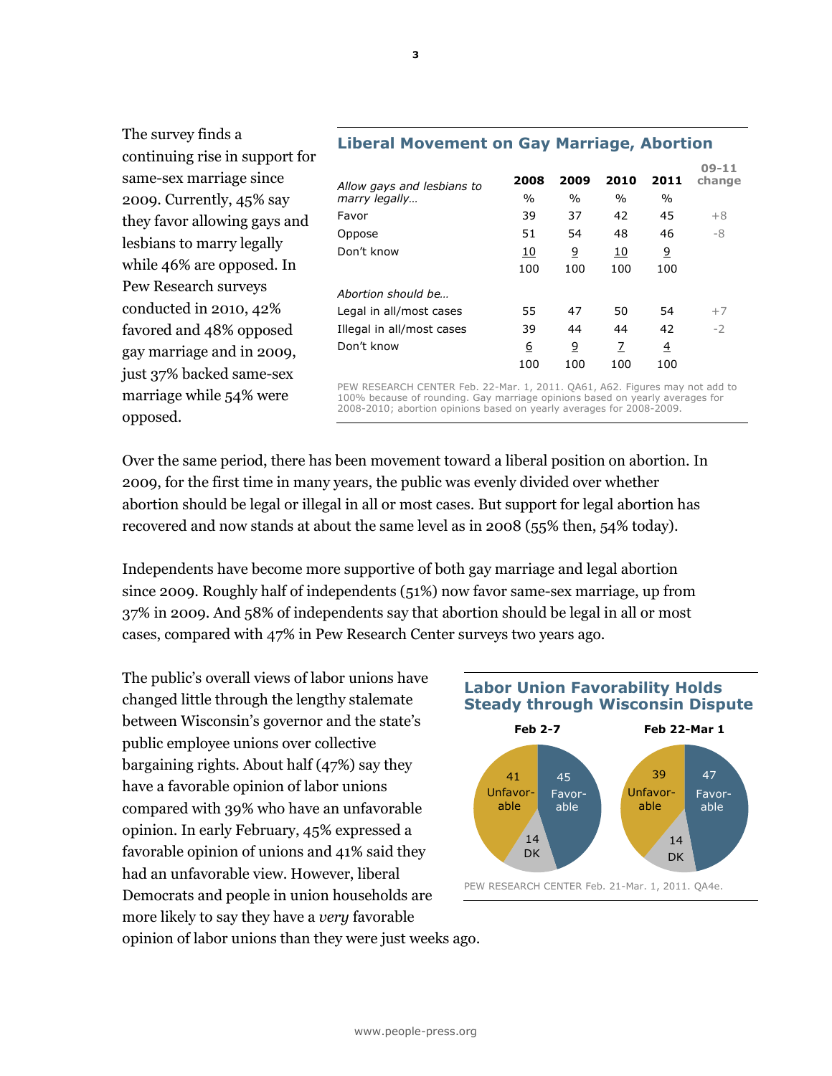| continuing rise in support for |                            |                 |                |           |                |                   |
|--------------------------------|----------------------------|-----------------|----------------|-----------|----------------|-------------------|
| same-sex marriage since        | Allow gays and lesbians to | 2008            | 2009           | 2010      | 2011           | $09-11$<br>change |
| 2009. Currently, 45% say       | marry legally              | $\%$            | $\%$           | $\%$      | $\frac{0}{0}$  |                   |
| they favor allowing gays and   | Favor                      | 39              | 37             | 42        | 45             | $+8$              |
|                                | Oppose                     | 51              | 54             | 48        | 46             | -8                |
| lesbians to marry legally      | Don't know                 | <u>10</u>       | $\overline{6}$ | <u>10</u> | <u>و</u>       |                   |
| while 46% are opposed. In      |                            | 100             | 100            | 100       | 100            |                   |
| Pew Research surveys           | Abortion should be         |                 |                |           |                |                   |
| conducted in 2010, 42%         | Legal in all/most cases    | 55              | 47             | 50        | 54             | $+7$              |
| favored and 48% opposed        | Illegal in all/most cases  | 39              | 44             | 44        | 42             | $-2$              |
| gay marriage and in 2009,      | Don't know                 | $6\overline{6}$ | $\overline{9}$ | 7         | $\overline{4}$ |                   |
| just 37% backed same-sex       |                            | 100             | 100            | 100       | 100            |                   |

#### Liberal Movement on Gay Marriage, Abortion

PEW RESEARCH CENTER Feb. 22-Mar. 1, 2011. QA61, A62. Figures may not add to 100% because of rounding. Gay marriage opinions based on yearly averages for 2008-2010; abortion opinions based on yearly averages for 2008-2009.

Over the same period, there has been movement toward a liberal position on abortion. In 2009, for the first time in many years, the public was evenly divided over whether abortion should be legal or illegal in all or most cases. But support for legal abortion has recovered and now stands at about the same level as in 2008 (55% then, 54% today).

Independents have become more supportive of both gay marriage and legal abortion since 2009. Roughly half of independents (51%) now favor same-sex marriage, up from 37% in 2009. And 58% of independents say that abortion should be legal in all or most cases, compared with 47% in Pew Research Center surveys two years ago.

The public's overall views of labor unions have changed little through the lengthy stalemate between Wisconsin's governor and the state's public employee unions over collective bargaining rights. About half (47%) say they have a favorable opinion of labor unions compared with 39% who have an unfavorable opinion. In early February, 45% expressed a favorable opinion of unions and 41% said they had an unfavorable view. However, liberal Democrats and people in union households are more likely to say they have a *very* favorable opinion of labor unions than they were just weeks ago.

The survey finds a

marriage while 54% were

opposed.





PEW RESEARCH CENTER Feb. 21-Mar. 1, 2011. QA4e.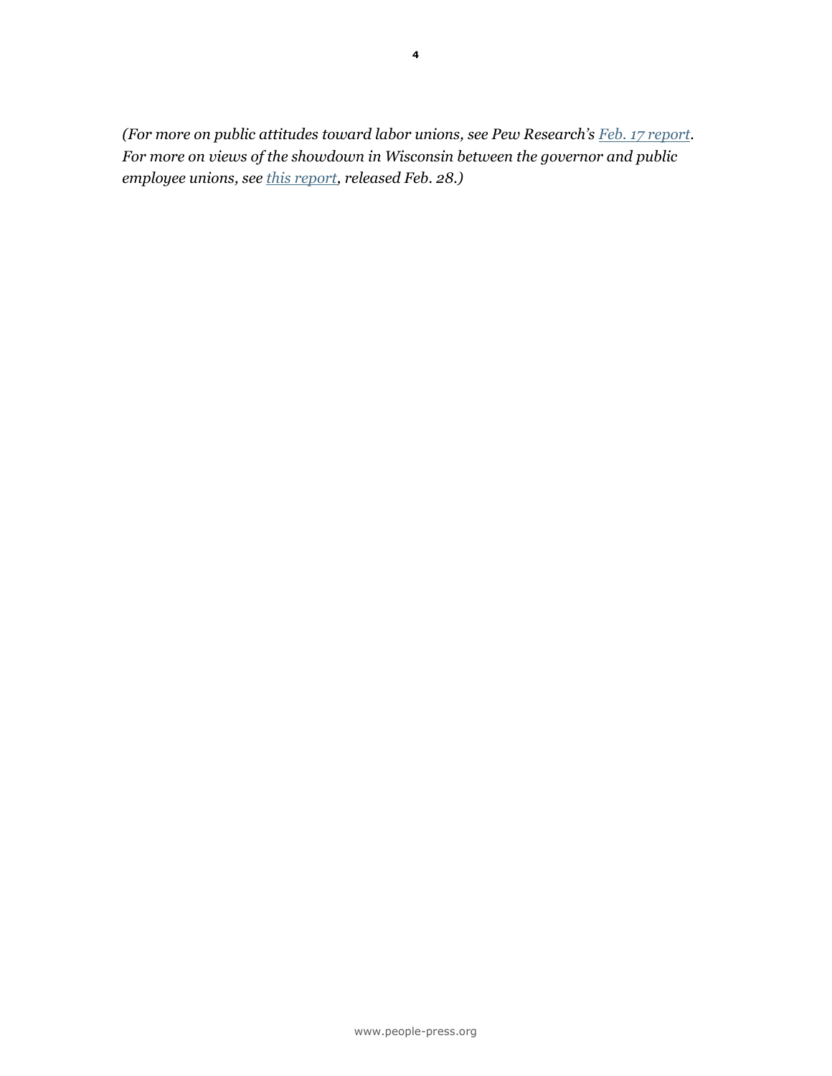(For more on public attitudes toward labor unions, see Pew Research's  $Feb. 17$  report. For more on views of the showdown in Wisconsin between the governor and public employee unions, see [this report](http://people-press.org/2011/02/28/more-side-with-wisconsin-unions-than-governor/), released Feb. 28.)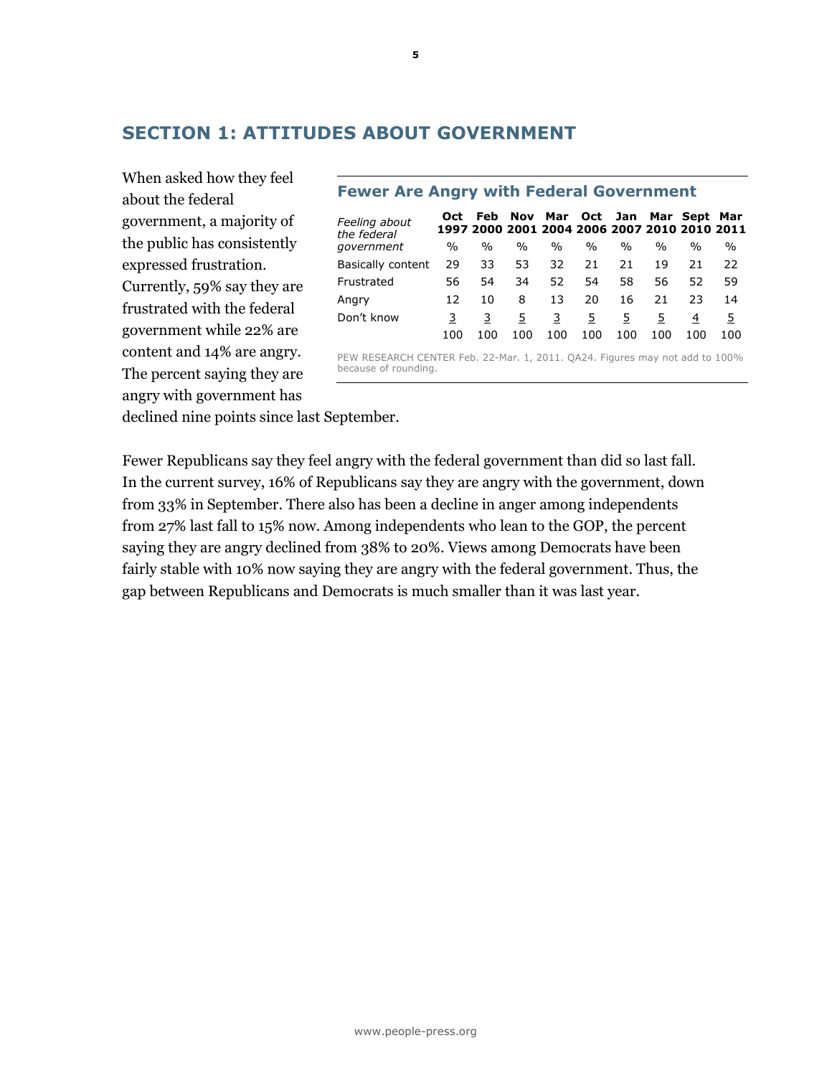# SECTION 1: ATTITUDES ABOUT GOVERNMENT

When asked how they feel about the federal government, a majority of the public has consistently expressed frustration. Currently, 59% say they are frustrated with the federal government while 22% are content and 14% are angry. The percent saying they are angry with government has

| Feeling about<br>the federal | Oct           | Feb. |               | Nov Mar Oct Jan Mar Sept Mar<br>1997 2000 2001 2004 2006 2007 2010 2010 2011 |      |      |      |     |     |
|------------------------------|---------------|------|---------------|------------------------------------------------------------------------------|------|------|------|-----|-----|
| government                   | $\frac{0}{0}$ | $\%$ | $\frac{0}{0}$ | $\frac{0}{0}$                                                                | $\%$ | $\%$ | $\%$ | %   | %   |
| Basically content            | 29            | 33   | 53            | 32                                                                           | 21   | 21   | 19   | 21  | 22  |
| Frustrated                   | 56            | 54   | 34            | 52                                                                           | 54   | 58   | 56   | 52  | 59  |
| Angry                        | 12            | 10   | 8             | 13                                                                           | 20   | 16   | 21   | 23  | 14  |
| Don't know                   |               |      | 5             | 3                                                                            | 5    | 5.   | 5    | 4   | 5   |
|                              | 100           | 100  | 100           | 100                                                                          | 100  | 100  | 100  | 100 | 100 |

# Fewer Are Angry with Federal Government

PEW RESEARCH CENTER Feb. 22-Mar. 1, 2011. QA24. Figures may not add to 100% because of rounding.

declined nine points since last September.

Fewer Republicans say they feel angry with the federal government than did so last fall. In the current survey, 16% of Republicans say they are angry with the government, down from 33% in September. There also has been a decline in anger among independents from 27% last fall to 15% now. Among independents who lean to the GOP, the percent saying they are angry declined from 38% to 20%. Views among Democrats have been fairly stable with 10% now saying they are angry with the federal government. Thus, the gap between Republicans and Democrats is much smaller than it was last year.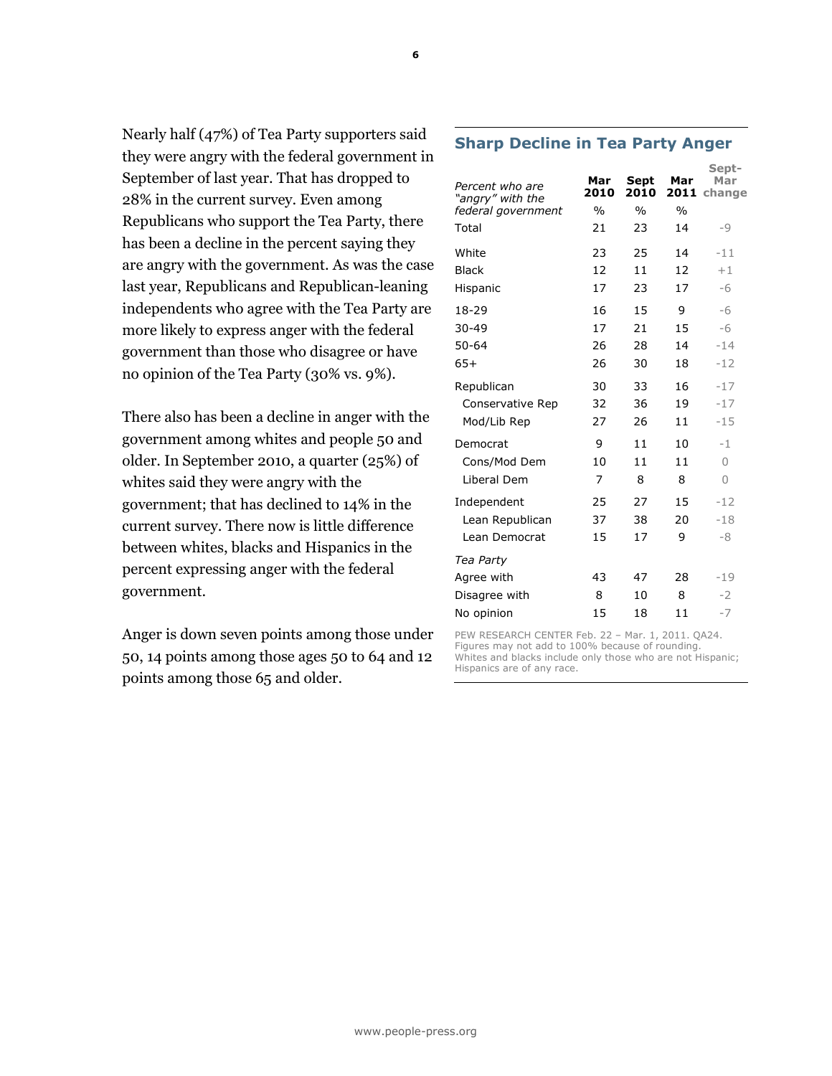Nearly half (47%) of Tea Party supporters said they were angry with the federal government in September of last year. That has dropped to 28% in the current survey. Even among Republicans who support the Tea Party, there has been a decline in the percent saying they are angry with the government. As was the case last year, Republicans and Republican-leaning independents who agree with the Tea Party are more likely to express anger with the federal government than those who disagree or have no opinion of the Tea Party (30% vs. 9%).

There also has been a decline in anger with the government among whites and people 50 and older. In September 2010, a quarter (25%) of whites said they were angry with the government; that has declined to 14% in the current survey. There now is little difference between whites, blacks and Hispanics in the percent expressing anger with the federal government.

Anger is down seven points among those under 50, 14 points among those ages 50 to 64 and 12 points among those 65 and older.

#### Percent who are "angry" with the federal government Mar 2010 Sept 2010 Mar 2011 change Mar % % % Total 21 23 14 -9 White 23 25 14 -11 Black 12 11 12 +1 Hispanic 17 23 17 -6 18-29 16 15 9 -6 30-49 17 21 15 -6 50-64 26 28 14 -14 65+ 26 30 18 -12 Republican 30 33 16 -17 Conservative Rep 32 36 19 -17 Mod/Lib Rep 27 26 11 -15 Democrat 9 11 10 -1 Cons/Mod Dem 10 11 11 0 Liberal Dem 7 8 8 0 Independent 25 27 15 -12 Lean Republican 37 38 20 -18  $L$ ean Democrat  $15 \t 17 \t 9 \t -8$

| Luur Dunouat  |    |    |    |       |
|---------------|----|----|----|-------|
| Tea Party     |    |    |    |       |
| Agree with    | 43 | 47 | 28 | $-19$ |
| Disagree with | 8  | 10 | 8  | - 2   |
| No opinion    | 15 | 18 | 11 |       |

PEW RESEARCH CENTER Feb. 22 – Mar. 1, 2011. QA24. Figures may not add to 100% because of rounding. Whites and blacks include only those who are not Hispanic; Hispanics are of any race.

# Sharp Decline in Tea Party Anger

Sept-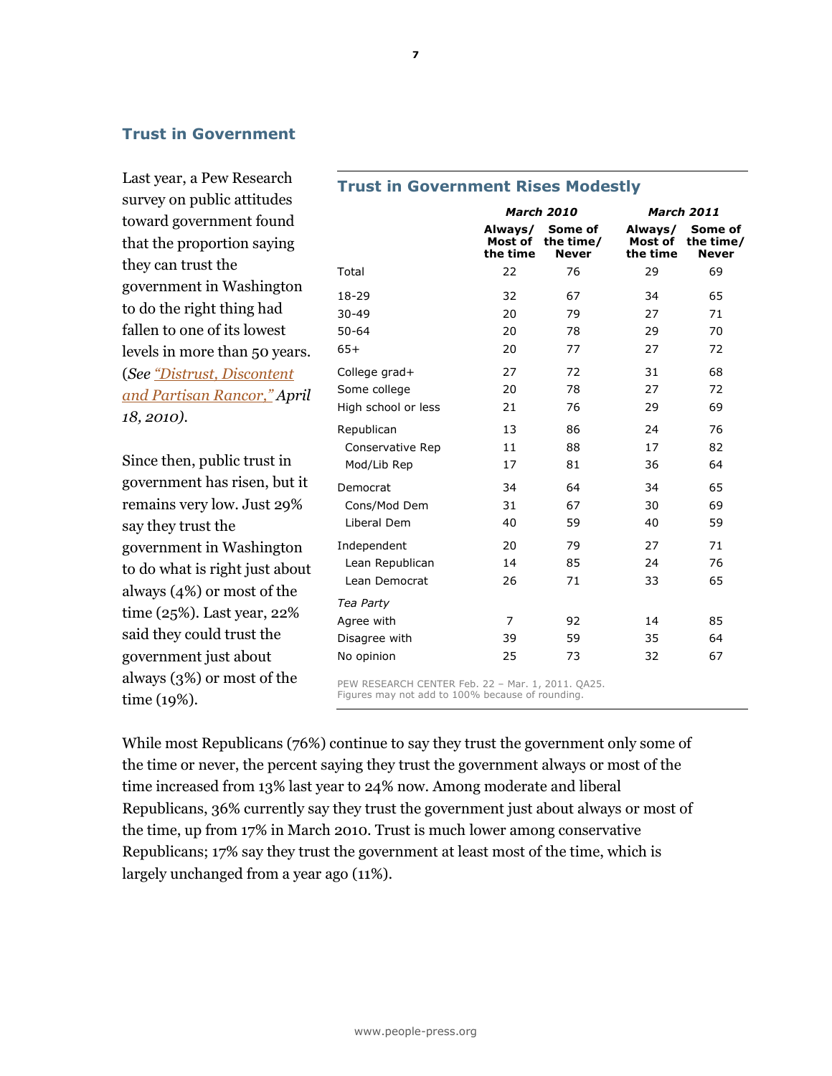# Trust in Government

Last year, a Pew Research survey on public attitudes toward government found that the proportion saying they can trust the government in Washington to do the right thing had fallen to one of its lowest levels in more than 50 years. (See "Distrust, Discontent [and Partisan Rancor," Ap](http://people-press.org/2010/04/18/distrust-discontent-anger-and-partisan-rancor/)ril 18, 2010).

Since then, public trust in government has risen, but it remains very low. Just 29% say they trust the government in Washington to do what is right just about always (4%) or most of the time (25%). Last year, 22% said they could trust the government just about always (3%) or most of the time (19%).

|    |                     |                                | <b>March 2010</b>                    | <b>March 2011</b>              |                                      |  |
|----|---------------------|--------------------------------|--------------------------------------|--------------------------------|--------------------------------------|--|
|    |                     | Always/<br>Most of<br>the time | Some of<br>the time/<br><b>Never</b> | Always/<br>Most of<br>the time | Some of<br>the time/<br><b>Never</b> |  |
|    | Total               | 22                             | 76                                   | 29                             | 69                                   |  |
|    | 18-29               | 32                             | 67                                   | 34                             | 65                                   |  |
|    | $30 - 49$           | 20                             | 79                                   | 27                             | 71                                   |  |
|    | $50 - 64$           | 20                             | 78                                   | 29                             | 70                                   |  |
|    | $65+$               | 20                             | 77                                   | 27                             | 72                                   |  |
|    | College grad+       | 27                             | 72                                   | 31                             | 68                                   |  |
| :1 | Some college        | 20                             | 78                                   | 27                             | 72                                   |  |
|    | High school or less | 21                             | 76                                   | 29                             | 69                                   |  |
|    | Republican          | 13                             | 86                                   | 24                             | 76                                   |  |
|    | Conservative Rep    | 11                             | 88                                   | 17                             | 82                                   |  |
|    | Mod/Lib Rep         | 17                             | 81                                   | 36                             | 64                                   |  |
|    | Democrat            | 34                             | 64                                   | 34                             | 65                                   |  |
|    | Cons/Mod Dem        | 31                             | 67                                   | 30                             | 69                                   |  |
|    | Liberal Dem         | 40                             | 59                                   | 40                             | 59                                   |  |
|    | Independent         | 20                             | 79                                   | 27                             | 71                                   |  |
| .t | Lean Republican     | 14                             | 85                                   | 24                             | 76                                   |  |
|    | Lean Democrat       | 26                             | 71                                   | 33                             | 65                                   |  |
|    | Tea Party           |                                |                                      |                                |                                      |  |
|    | Agree with          | $\overline{7}$                 | 92                                   | 14                             | 85                                   |  |
|    | Disagree with       | 39                             | 59                                   | 35                             | 64                                   |  |
|    | No opinion          | 25                             | 73                                   | 32                             | 67                                   |  |
|    |                     |                                |                                      |                                |                                      |  |

Trust in Government Rises Modestly

PEW RESEARCH CENTER Feb. 22 – Mar. 1, 2011. QA25. Figures may not add to 100% because of rounding.

While most Republicans (76%) continue to say they trust the government only some of the time or never, the percent saying they trust the government always or most of the time increased from 13% last year to 24% now. Among moderate and liberal Republicans, 36% currently say they trust the government just about always or most of the time, up from 17% in March 2010. Trust is much lower among conservative Republicans; 17% say they trust the government at least most of the time, which is largely unchanged from a year ago (11%).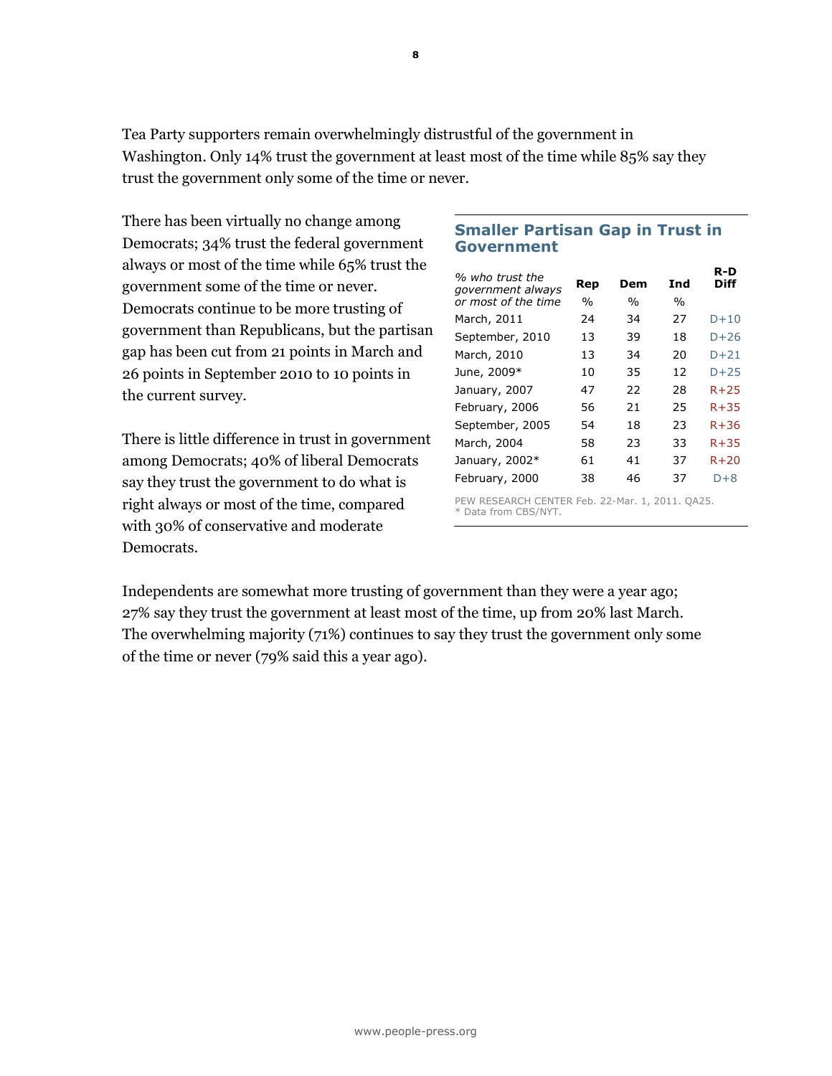Tea Party supporters remain overwhelmingly distrustful of the government in Washington. Only 14% trust the government at least most of the time while 85% say they trust the government only some of the time or never.

There has been virtually no change among Democrats; 34% trust the federal government always or most of the time while 65% trust the government some of the time or never. Democrats continue to be more trusting of government than Republicans, but the partisan gap has been cut from 21 points in March and 26 points in September 2010 to 10 points in the current survey.

There is little difference in trust in government among Democrats; 40% of liberal Democrats say they trust the government to do what is right always or most of the time, compared with 30% of conservative and moderate Democrats.

# Smaller Partisan Gap in Trust in Government

| % who trust the     |               |               |      | R-D         |
|---------------------|---------------|---------------|------|-------------|
| government always   | Rep           | Dem           | Ind  | <b>Diff</b> |
| or most of the time | $\frac{0}{0}$ | $\frac{0}{0}$ | $\%$ |             |
| March, 2011         | 24            | 34            | 27   | $D+10$      |
| September, 2010     | 13            | 39            | 18   | $D+26$      |
| March, 2010         | 13            | 34            | 20   | $D+21$      |
| June, 2009*         | 10            | 35            | 12   | $D + 25$    |
| January, 2007       | 47            | 22            | 28   | $R + 25$    |
| February, 2006      | 56            | 21            | 25   | $R + 35$    |
| September, 2005     | 54            | 18            | 23   | $R + 36$    |
| March, 2004         | 58            | 23            | 33   | $R + 35$    |
| January, 2002*      | 61            | 41            | 37   | $R + 20$    |
| February, 2000      | 38            | 46            | 37   | $D+8$       |

PEW RESEARCH CENTER Feb. 22-Mar. 1, 2011. QA25. \* Data from CBS/NYT.

Independents are somewhat more trusting of government than they were a year ago; 27% say they trust the government at least most of the time, up from 20% last March. The overwhelming majority (71%) continues to say they trust the government only some of the time or never (79% said this a year ago).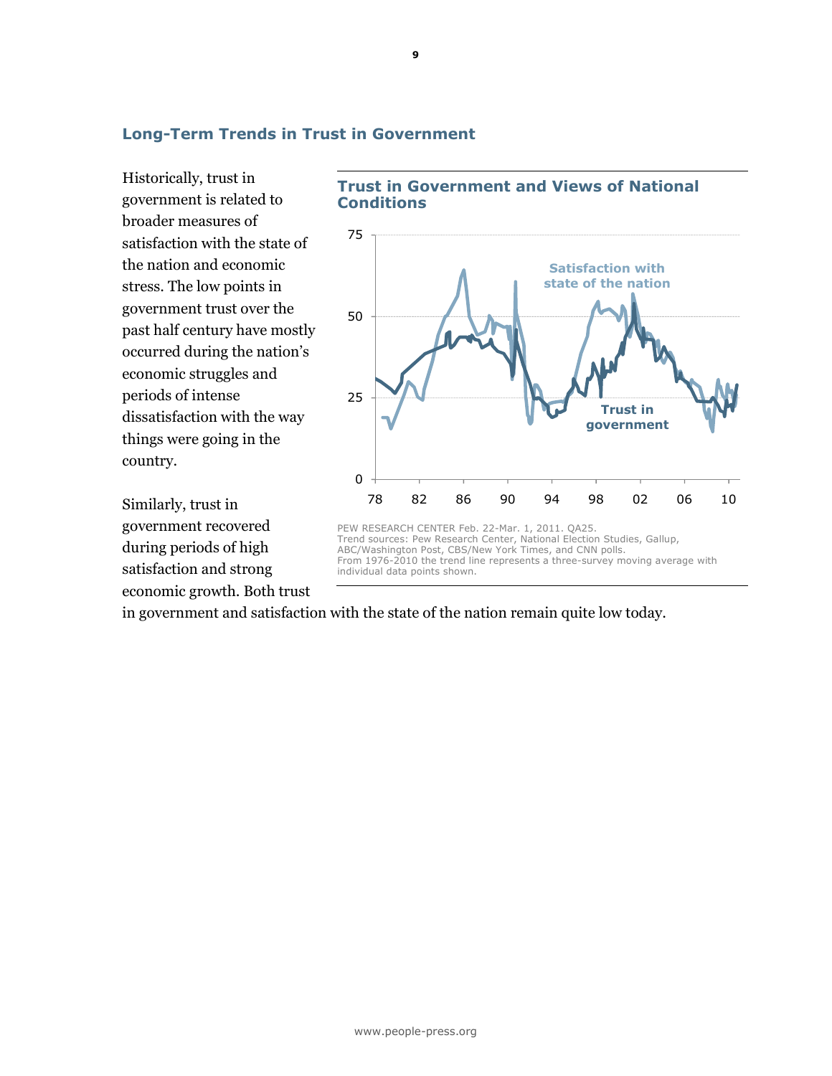## Long-Term Trends in Trust in Government

Historically, trust in government is related to broader measures of satisfaction with the state of the nation and economic stress. The low points in government trust over the past half century have mostly occurred during the nation's economic struggles and periods of intense dissatisfaction with the way things were going in the country.

Similarly, trust in government recovered during periods of high satisfaction and strong economic growth. Both trust





in government and satisfaction with the state of the nation remain quite low today.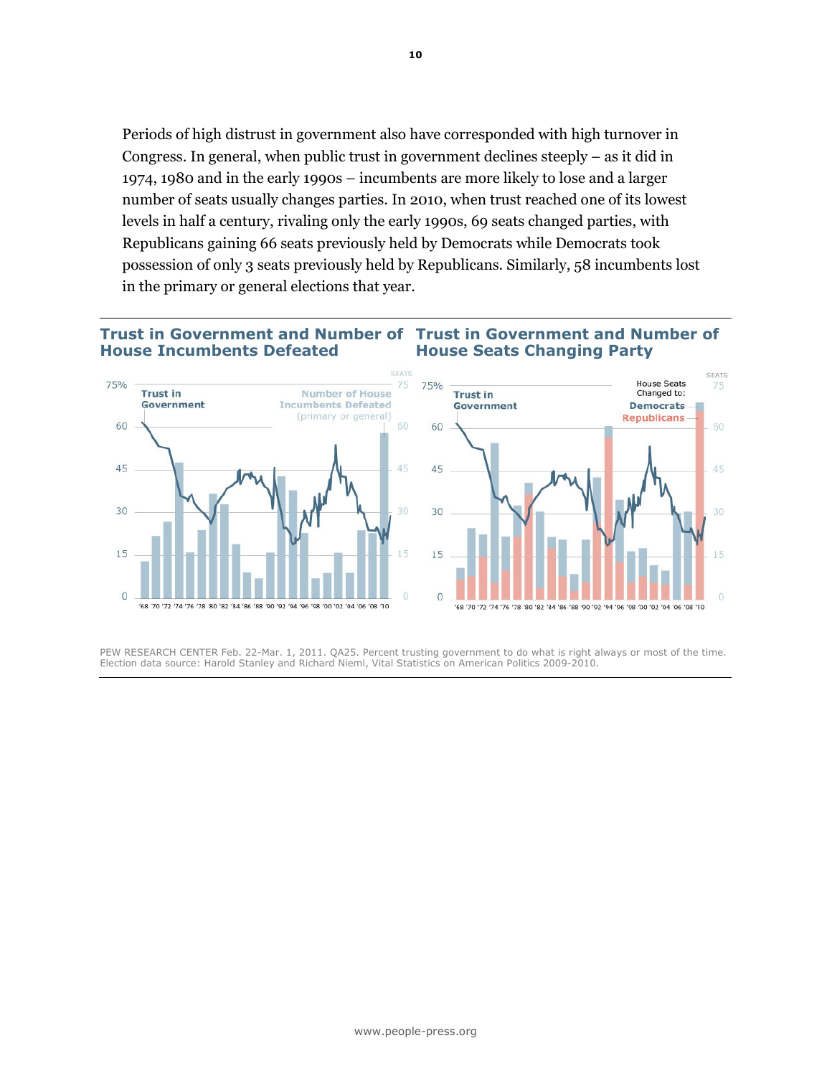Periods of high distrust in government also have corresponded with high turnover in Congress. In general, when public trust in government declines steeply – as it did in 1974, 1980 and in the early 1990s – incumbents are more likely to lose and a larger number of seats usually changes parties. In 2010, when trust reached one of its lowest levels in half a century, rivaling only the early 1990s, 69 seats changed parties, with Republicans gaining 66 seats previously held by Democrats while Democrats took possession of only 3 seats previously held by Republicans. Similarly, 58 incumbents lost in the primary or general elections that year.

#### Trust in Government and Number of Trust in Government and Number of House Incumbents Defeated House Seats Changing Party



PEW RESEARCH CENTER Feb. 22-Mar. 1, 2011. QA25. Percent trusting government to do what is right always or most of the time. Election data source: Harold Stanley and Richard Niemi, Vital Statistics on American Politics 2009-2010.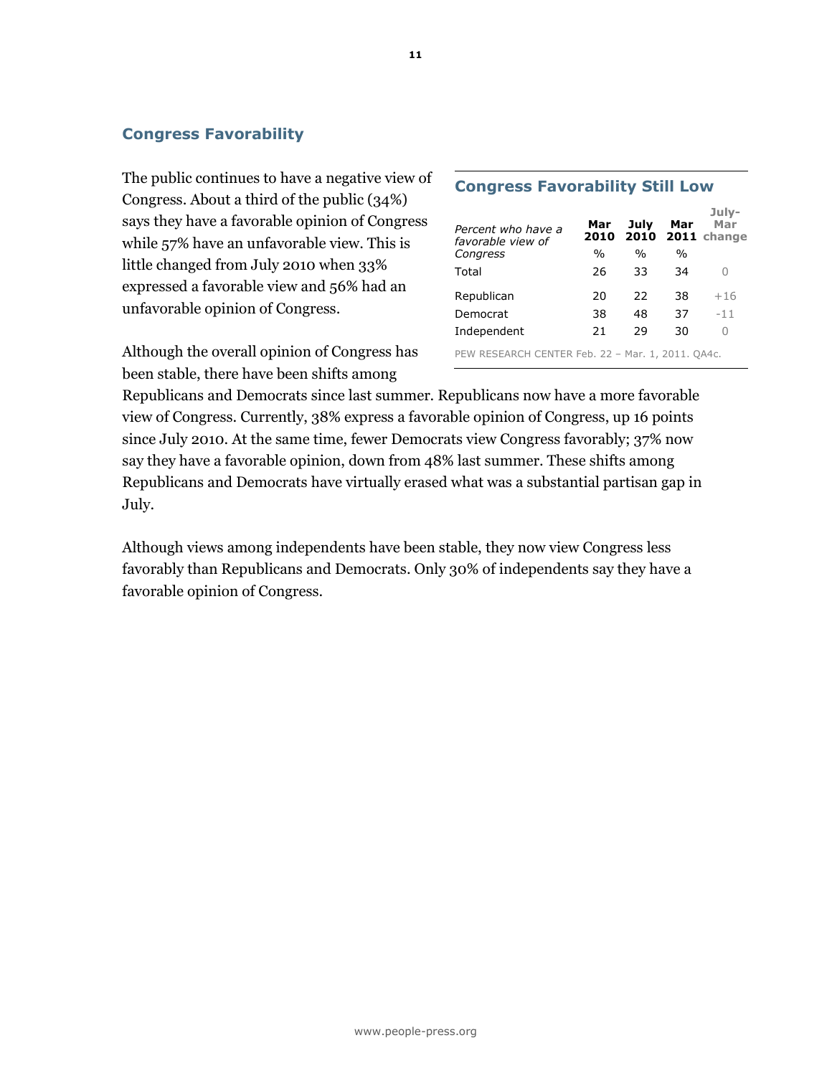# Congress Favorability

The public continues to have a negative view of Congress. About a third of the public (34%) says they have a favorable opinion of Congress while 57% have an unfavorable view. This is little changed from July 2010 when 33% expressed a favorable view and 56% had an unfavorable opinion of Congress.

Although the overall opinion of Congress has been stable, there have been shifts among

| Percent who have a<br>favorable view of | Mar<br>2010   | July          | Mar  | July-<br>Mar<br>2010 2011 change |
|-----------------------------------------|---------------|---------------|------|----------------------------------|
| Congress                                | $\frac{0}{0}$ | $\frac{0}{0}$ | $\%$ |                                  |
| Total                                   | 26            | 33            | 34   | O                                |
| Republican                              | 20            | 22            | 38   | $+16$                            |
| Democrat                                | 38            | 48            | 37   | $-11$                            |
| Independent                             | 21            | 29            | 30   | 0                                |

Congress Favorability Still Low

PEW RESEARCH CENTER Feb. 22 – Mar. 1, 2011. QA4c.

Republicans and Democrats since last summer. Republicans now have a more favorable view of Congress. Currently, 38% express a favorable opinion of Congress, up 16 points since July 2010. At the same time, fewer Democrats view Congress favorably; 37% now say they have a favorable opinion, down from 48% last summer. These shifts among Republicans and Democrats have virtually erased what was a substantial partisan gap in July.

Although views among independents have been stable, they now view Congress less favorably than Republicans and Democrats. Only 30% of independents say they have a favorable opinion of Congress.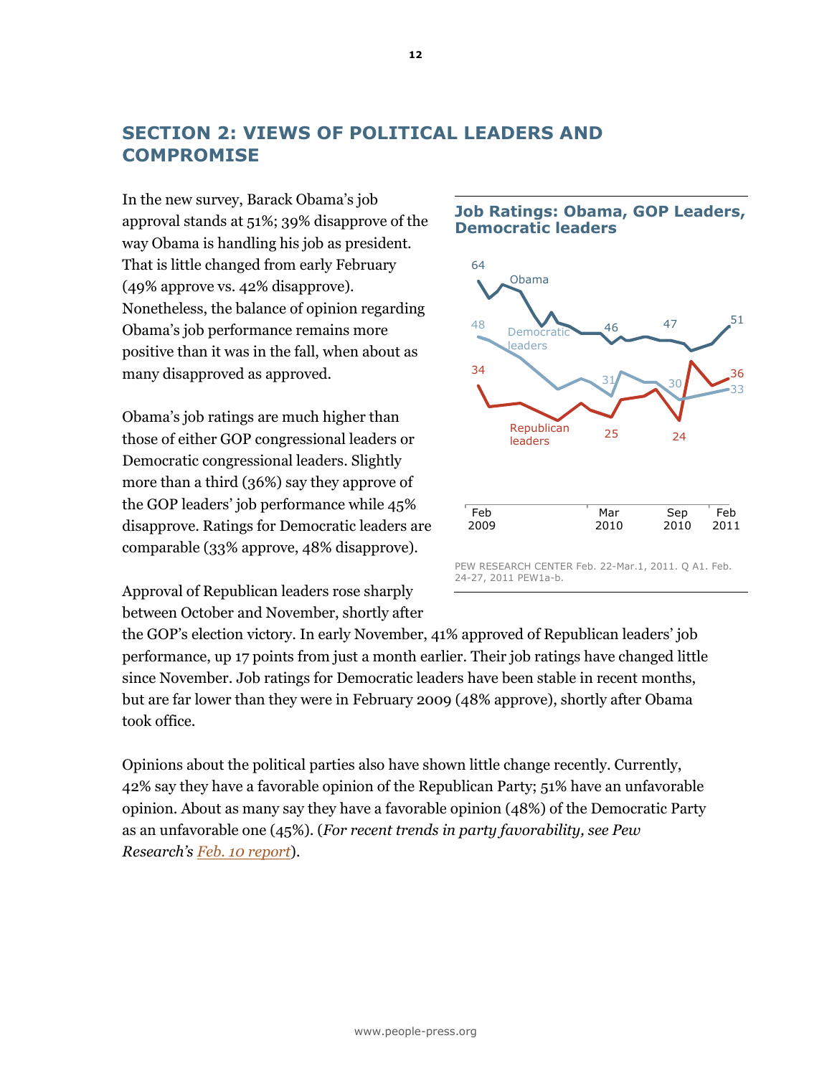# SECTION 2: VIEWS OF POLITICAL LEADERS AND **COMPROMISE**

In the new survey, Barack Obama's job approval stands at 51%; 39% disapprove of the way Obama is handling his job as president. That is little changed from early February (49% approve vs. 42% disapprove). Nonetheless, the balance of opinion regarding Obama's job performance remains more positive than it was in the fall, when about as many disapproved as approved.

Obama's job ratings are much higher than those of either GOP congressional leaders or Democratic congressional leaders. Slightly more than a third (36%) say they approve of the GOP leaders' job performance while 45% disapprove. Ratings for Democratic leaders are comparable (33% approve, 48% disapprove).

Approval of Republican leaders rose sharply between October and November, shortly after

#### Job Ratings: Obama, GOP Leaders, Democratic leaders



the GOP's election victory. In early November, 41% approved of Republican leaders' job performance, up 17 points from just a month earlier. Their job ratings have changed little since November. Job ratings for Democratic leaders have been stable in recent months, but are far lower than they were in February 2009 (48% approve), shortly after Obama took office.

Opinions about the political parties also have shown little change recently. Currently, 42% say they have a favorable opinion of the Republican Party; 51% have an unfavorable opinion. About as many say they have a favorable opinion (48%) of the Democratic Party as an unfavorable one (45%). (For recent trends in party favorability, see Pew Research's **Feb. 10 report**).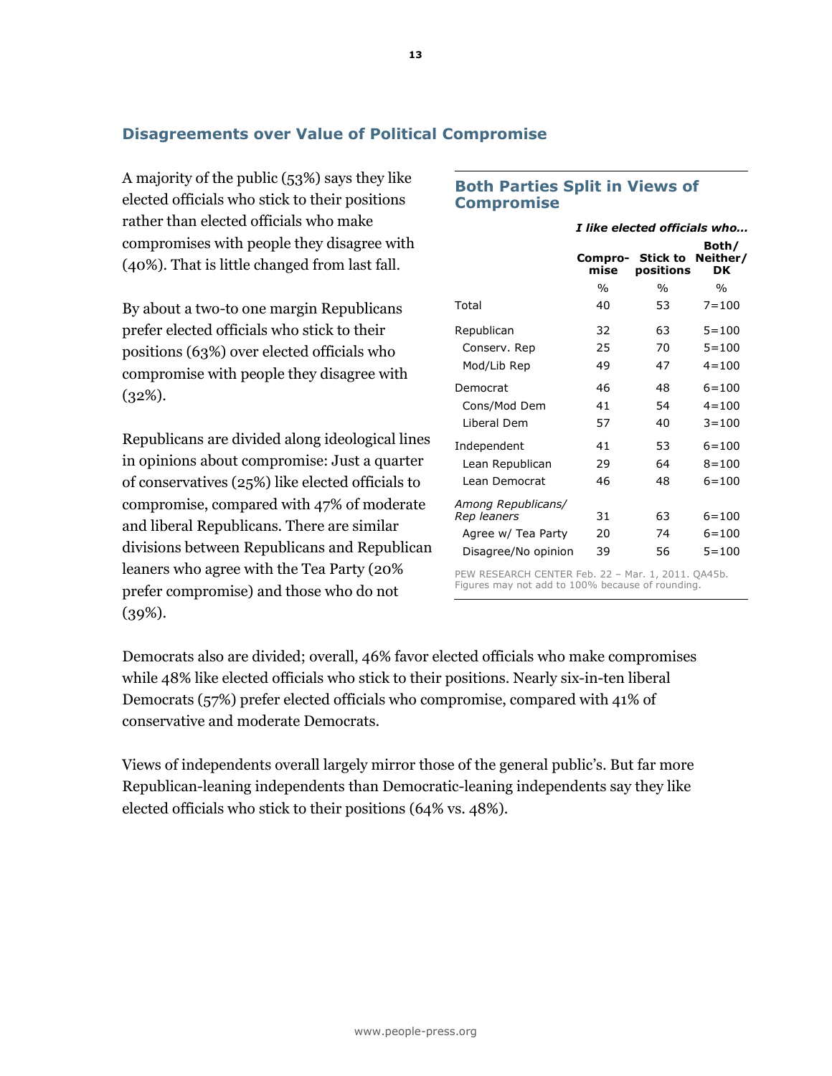# Disagreements over Value of Political Compromise

A majority of the public (53%) says they like elected officials who stick to their positions rather than elected officials who make compromises with people they disagree with (40%). That is little changed from last fall.

By about a two-to one margin Republicans prefer elected officials who stick to their positions (63%) over elected officials who compromise with people they disagree with (32%).

Republicans are divided along ideological lines in opinions about compromise: Just a quarter of conservatives (25%) like elected officials to compromise, compared with 47% of moderate and liberal Republicans. There are similar divisions between Republicans and Republican leaners who agree with the Tea Party (20% prefer compromise) and those who do not (39%).

#### Both Parties Split in Views of Compromise

|                                             | I like elected officials who |                       |                                |  |  |
|---------------------------------------------|------------------------------|-----------------------|--------------------------------|--|--|
|                                             | Compro-<br>mise              | Stick to<br>positions | Both/<br>Neither/<br><b>DK</b> |  |  |
|                                             | $\frac{0}{0}$                | $\%$                  | $\frac{0}{0}$                  |  |  |
| Total                                       | 40                           | 53                    | $7 = 100$                      |  |  |
| Republican                                  | 32                           | 63                    | $5 = 100$                      |  |  |
| Conserv. Rep                                | 25                           | 70                    | $5 = 100$                      |  |  |
| Mod/Lib Rep                                 | 49                           | 47                    | $4 = 100$                      |  |  |
| Democrat                                    | 46                           | 48                    | $6 = 100$                      |  |  |
| Cons/Mod Dem                                | 41                           | 54                    | $4 = 100$                      |  |  |
| Liberal Dem                                 | 57                           | 40                    | $3 = 100$                      |  |  |
| Independent                                 | 41                           | 53                    | $6 = 100$                      |  |  |
| Lean Republican                             | 29                           | 64                    | $8 = 100$                      |  |  |
| Lean Democrat                               | 46                           | 48                    | $6 = 100$                      |  |  |
| Among Republicans/                          |                              |                       |                                |  |  |
| Rep leaners                                 | 31                           | 63                    | $6 = 100$                      |  |  |
| Agree w/ Tea Party                          | 20                           | 74                    | $6 = 100$                      |  |  |
| Disagree/No opinion                         | 39                           | 56                    | $5 = 100$                      |  |  |
| DEM DECEADOU CENTED Eab 22 Mar 1 2011 OA4Eb |                              |                       |                                |  |  |

PEW RESEARCH CENTER Feb. 22 – Mar. 1, 2011. QA45b. Figures may not add to 100% because of rounding.

Democrats also are divided; overall, 46% favor elected officials who make compromises while 48% like elected officials who stick to their positions. Nearly six-in-ten liberal Democrats (57%) prefer elected officials who compromise, compared with 41% of conservative and moderate Democrats.

Views of independents overall largely mirror those of the general public's. But far more Republican-leaning independents than Democratic-leaning independents say they like elected officials who stick to their positions (64% vs. 48%).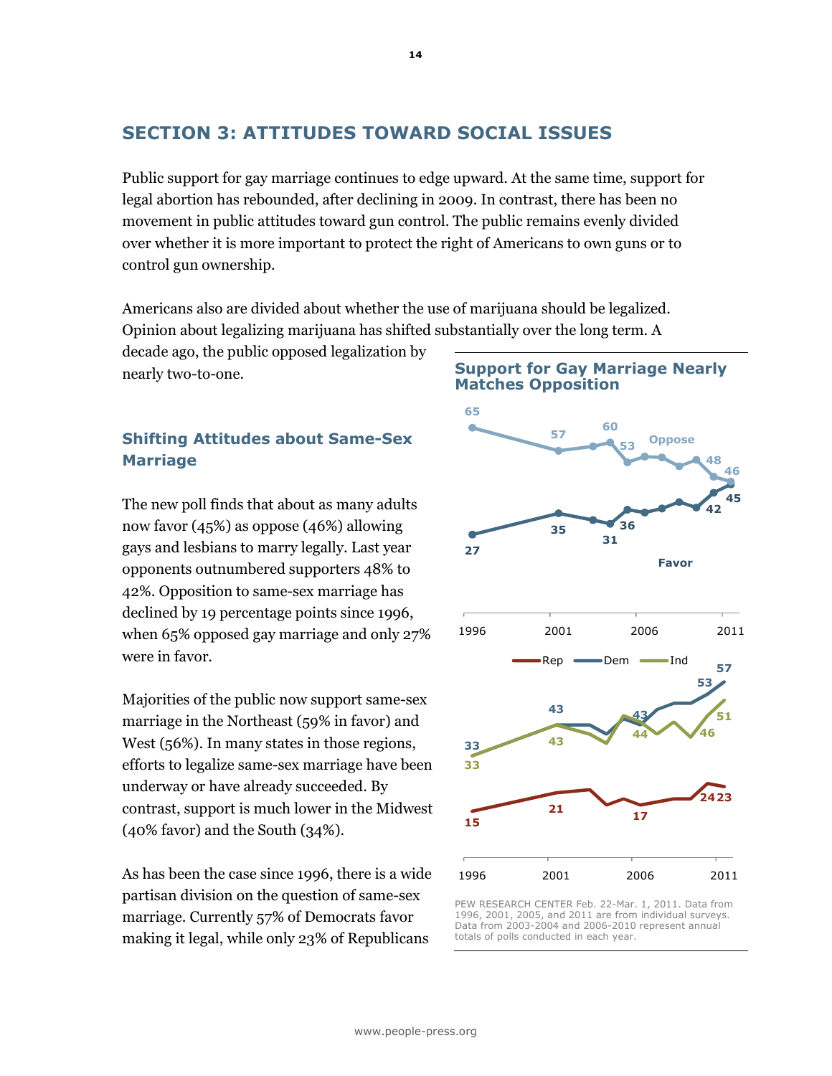# SECTION 3: ATTITUDES TOWARD SOCIAL ISSUES

Public support for gay marriage continues to edge upward. At the same time, support for legal abortion has rebounded, after declining in 2009. In contrast, there has been no movement in public attitudes toward gun control. The public remains evenly divided over whether it is more important to protect the right of Americans to own guns or to control gun ownership.

Americans also are divided about whether the use of marijuana should be legalized. Opinion about legalizing marijuana has shifted substantially over the long term. A

decade ago, the public opposed legalization by nearly two-to-one.

# Shifting Attitudes about Same-Sex Marriage

The new poll finds that about as many adults now favor (45%) as oppose (46%) allowing gays and lesbians to marry legally. Last year opponents outnumbered supporters 48% to 42%. Opposition to same-sex marriage has declined by 19 percentage points since 1996, when 65% opposed gay marriage and only 27% were in favor.

Majorities of the public now support same-sex marriage in the Northeast (59% in favor) and West (56%). In many states in those regions, efforts to legalize same-sex marriage have been underway or have already succeeded. By contrast, support is much lower in the Midwest (40% favor) and the South (34%).

As has been the case since 1996, there is a wide partisan division on the question of same-sex marriage. Currently 57% of Democrats favor making it legal, while only 23% of Republicans



Support for Gay Marriage Nearly

PEW RESEARCH CENTER Feb. 22-Mar. 1, 2011. Data from 1996, 2001, 2005, and 2011 are from individual surveys. Data from 2003-2004 and 2006-2010 represent annual totals of polls conducted in each year.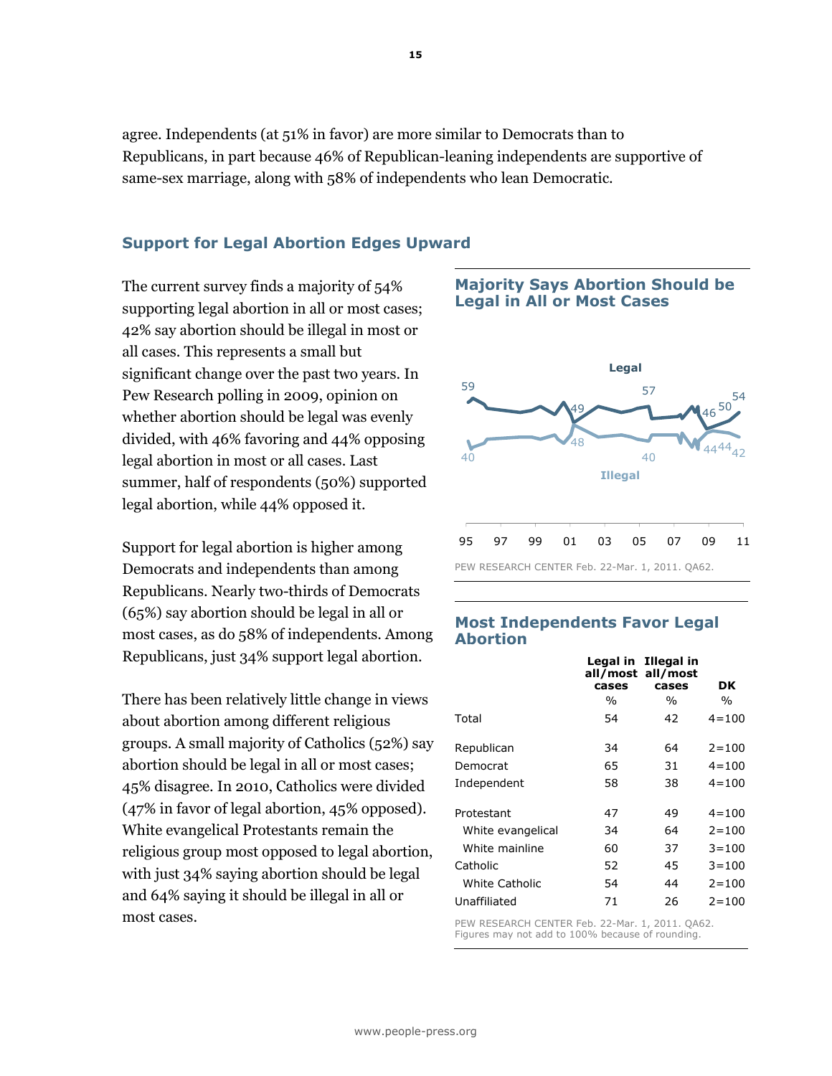agree. Independents (at 51% in favor) are more similar to Democrats than to Republicans, in part because 46% of Republican-leaning independents are supportive of same-sex marriage, along with 58% of independents who lean Democratic.

### Support for Legal Abortion Edges Upward

The current survey finds a majority of 54% supporting legal abortion in all or most cases; 42% say abortion should be illegal in most or all cases. This represents a small but significant change over the past two years. In Pew Research polling in 2009, opinion on whether abortion should be legal was evenly divided, with 46% favoring and 44% opposing legal abortion in most or all cases. Last summer, half of respondents (50%) supported legal abortion, while 44% opposed it.

Support for legal abortion is higher among Democrats and independents than among Republicans. Nearly two-thirds of Democrats (65%) say abortion should be legal in all or most cases, as do 58% of independents. Among Republicans, just 34% support legal abortion.

There has been relatively little change in views about abortion among different religious groups. A small majority of Catholics (52%) say abortion should be legal in all or most cases; 45% disagree. In 2010, Catholics were divided (47% in favor of legal abortion, 45% opposed). White evangelical Protestants remain the religious group most opposed to legal abortion, with just 34% saying abortion should be legal and 64% saying it should be illegal in all or most cases.

#### Majority Says Abortion Should be Legal in All or Most Cases



### Most Independents Favor Legal Abortion

|                   |       | Legal in Illegal in<br>all/most_all/most |           |
|-------------------|-------|------------------------------------------|-----------|
|                   | cases | cases                                    | DK        |
|                   | $\%$  | $\%$                                     | $\%$      |
| Total             | 54    | 42                                       | $4 = 100$ |
| Republican        | 34    | 64                                       | $2 = 100$ |
| Democrat          | 65    | 31                                       | $4 = 100$ |
| Independent       | 58    | 38                                       | $4 = 100$ |
| Protestant        | 47    | 49                                       | $4 = 100$ |
| White evangelical | 34    | 64                                       | $2 = 100$ |
| White mainline    | 60    | 37                                       | $3 = 100$ |
| Catholic          | 52    | 45                                       | $3 = 100$ |
| White Catholic    | 54    | 44                                       | $2 = 100$ |
| Unaffiliated      | 71    | 26                                       | $2 = 100$ |

PEW RESEARCH CENTER Feb. 22-Mar. 1, 2011. QA62. Figures may not add to 100% because of rounding.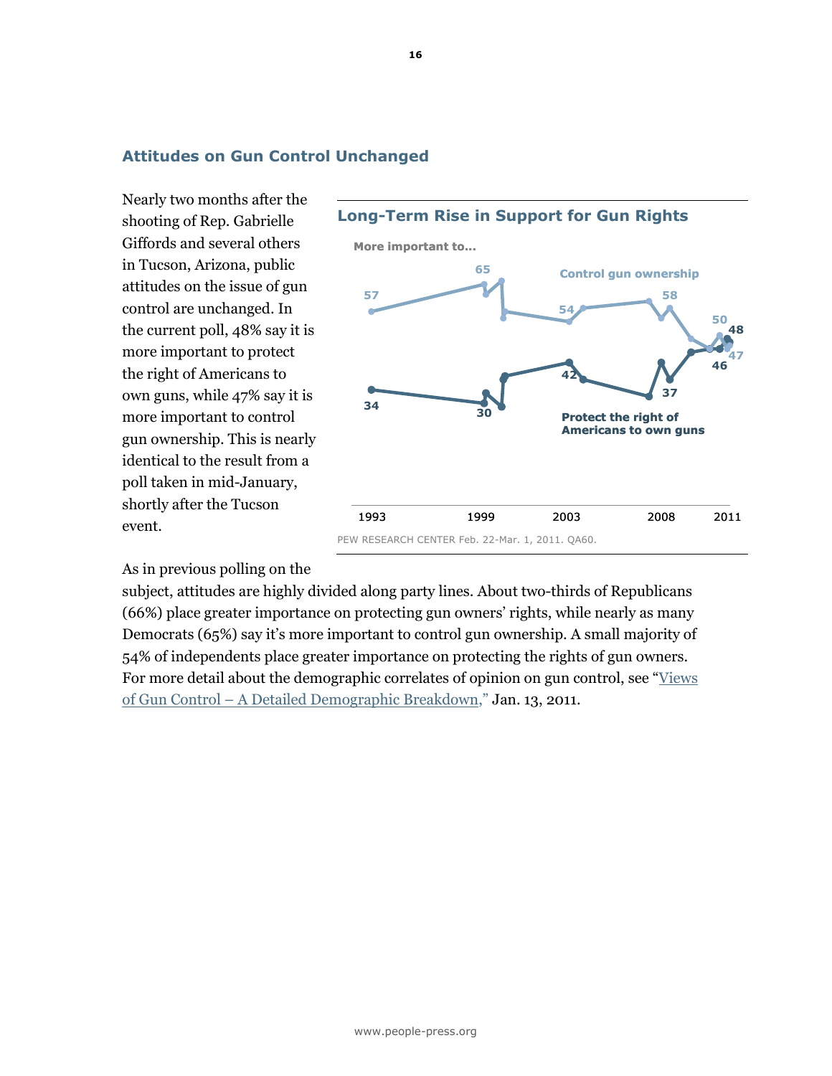#### Attitudes on Gun Control Unchanged

Nearly two months after the shooting of Rep. Gabrielle Giffords and several others in Tucson, Arizona, public attitudes on the issue of gun control are unchanged. In the current poll, 48% say it is more important to protect the right of Americans to own guns, while 47% say it is more important to control gun ownership. This is nearly identical to the result from a poll taken in mid-January, shortly after the Tucson event.

<sup>34</sup> <sup>30</sup> 42 37 46 48 57 65 54 58 50 47 Protect the right of Americans to own guns Control gun ownership 1993 2003 1999 2008 2011 More important to... Long-Term Rise in Support for Gun Rights

### As in previous polling on the

subject, attitudes are highly divided along party lines. About two-thirds of Republicans (66%) place greater importance on protecting gun owners' rights, while nearly as many Democrats (65%) say it's more important to control gun ownership. A small majority of 54% of independents place greater importance on protecting the rights of gun owners. For more detail about the demographic correlates of opinion on gun control, see "Views of Gun Control – A Detailed Demographic Breakdown," Jan. 13, 2011.

PEW RESEARCH CENTER Feb. 22-Mar. 1, 2011. QA60.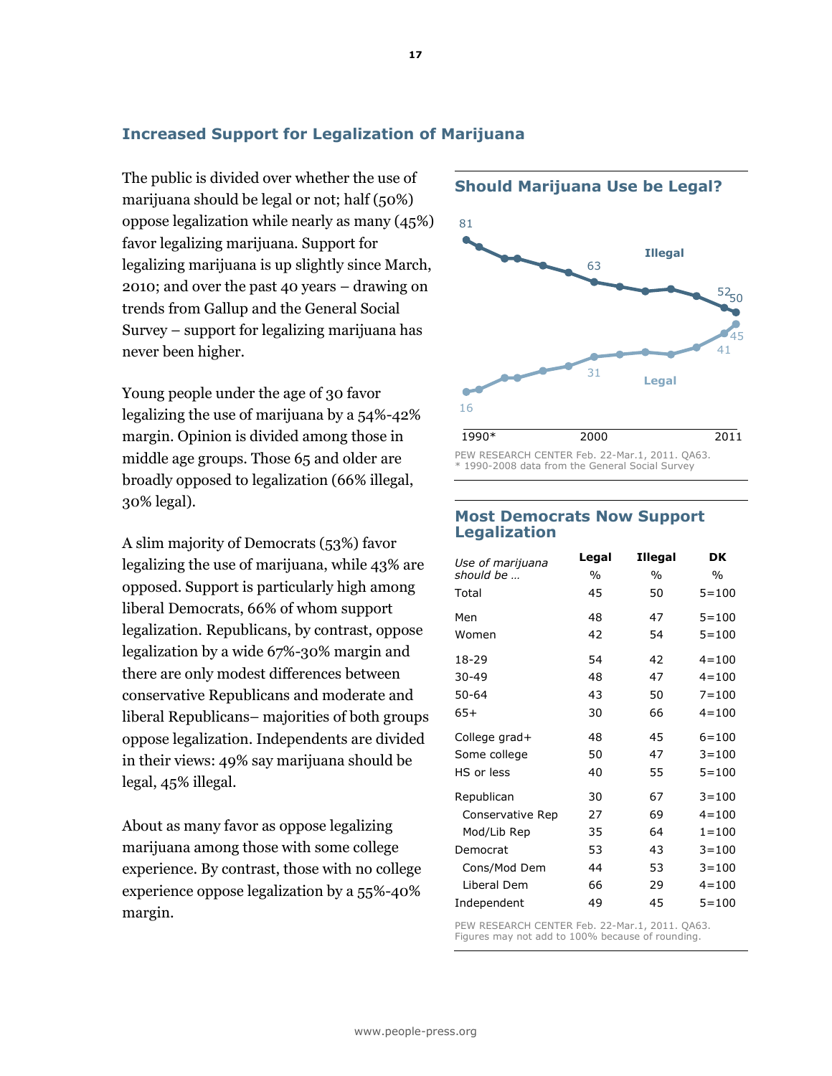# Increased Support for Legalization of Marijuana

The public is divided over whether the use of marijuana should be legal or not; half (50%) oppose legalization while nearly as many (45%) favor legalizing marijuana. Support for legalizing marijuana is up slightly since March, 2010; and over the past 40 years – drawing on trends from Gallup and the General Social Survey – support for legalizing marijuana has never been higher.

Young people under the age of 30 favor legalizing the use of marijuana by a 54%-42% margin. Opinion is divided among those in middle age groups. Those 65 and older are broadly opposed to legalization (66% illegal, 30% legal).

A slim majority of Democrats (53%) favor legalizing the use of marijuana, while 43% are opposed. Support is particularly high among liberal Democrats, 66% of whom support legalization. Republicans, by contrast, oppose legalization by a wide 67%-30% margin and there are only modest differences between conservative Republicans and moderate and liberal Republicans– majorities of both groups oppose legalization. Independents are divided in their views: 49% say marijuana should be legal, 45% illegal.

About as many favor as oppose legalizing marijuana among those with some college experience. By contrast, those with no college experience oppose legalization by a 55%-40% margin.



Should Marijuana Use be Legal?

PEW RESEARCH CENTER Feb. 22-Mar.1, 2011. QA63. \* 1990-2008 data from the General Social Survey

#### Most Democrats Now Support Legalization

| Use of marijuana | Legal | <b>Illegal</b> | DK        |
|------------------|-------|----------------|-----------|
| should be        | $\%$  | $\%$           | $\%$      |
| Total            | 45    | 50             | $5 = 100$ |
| Men              | 48    | 47             | $5 = 100$ |
| Women            | 42    | 54             | $5 = 100$ |
| 18-29            | 54    | 42             | $4 = 100$ |
| $30 - 49$        | 48    | 47             | $4 = 100$ |
| $50 - 64$        | 43    | 50             | $7 = 100$ |
| 65+              | 30    | 66             | $4 = 100$ |
| College grad+    | 48    | 45             | $6 = 100$ |
| Some college     | 50    | 47             | $3 = 100$ |
| HS or less       | 40    | 55             | $5 = 100$ |
| Republican       | 30    | 67             | $3 = 100$ |
| Conservative Rep | 27    | 69             | $4 = 100$ |
| Mod/Lib Rep      | 35    | 64             | $1 = 100$ |
| Democrat         | 53    | 43             | $3 = 100$ |
| Cons/Mod Dem     | 44    | 53             | $3 = 100$ |
| Liberal Dem      | 66    | 29             | $4 = 100$ |
| Independent      | 49    | 45             | $5 = 100$ |

PEW RESEARCH CENTER Feb. 22-Mar.1, 2011. QA63. Figures may not add to 100% because of rounding.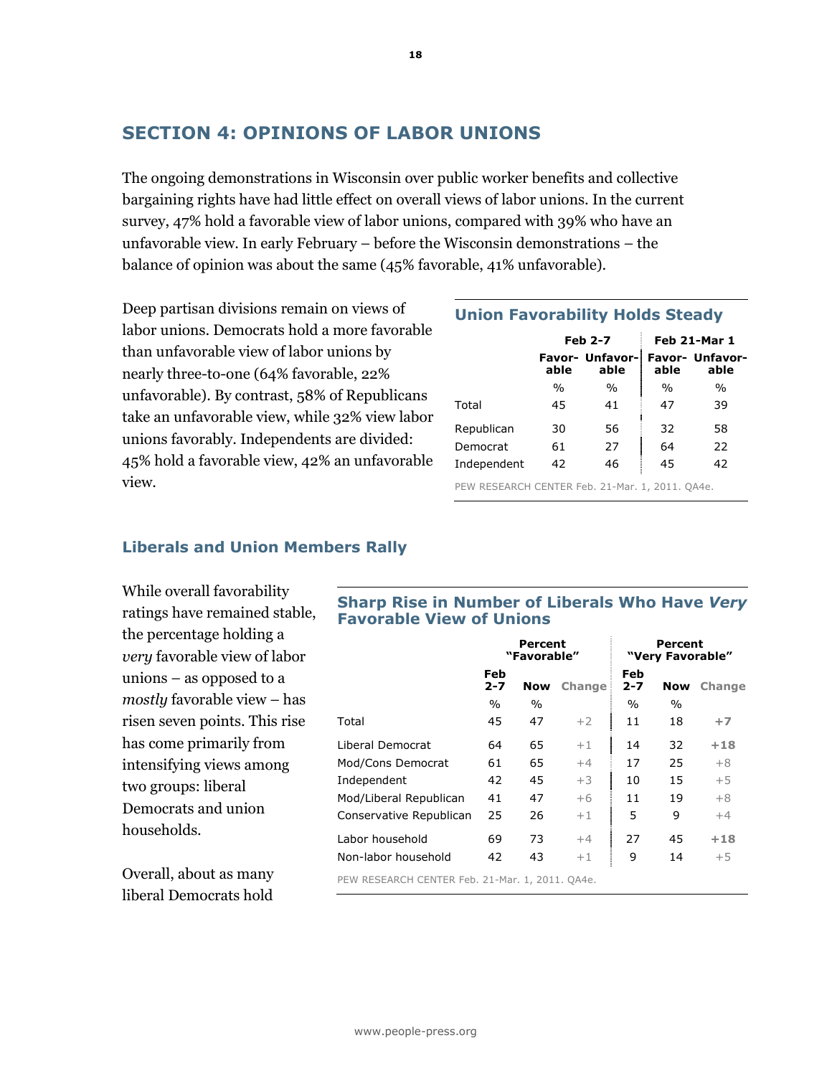# SECTION 4: OPINIONS OF LABOR UNIONS

The ongoing demonstrations in Wisconsin over public worker benefits and collective bargaining rights have had little effect on overall views of labor unions. In the current survey, 47% hold a favorable view of labor unions, compared with 39% who have an unfavorable view. In early February – before the Wisconsin demonstrations – the balance of opinion was about the same (45% favorable, 41% unfavorable).

Deep partisan divisions remain on views of labor unions. Democrats hold a more favorable than unfavorable view of labor unions by nearly three-to-one (64% favorable, 22% unfavorable). By contrast, 58% of Republicans take an unfavorable view, while 32% view labor unions favorably. Independents are divided: 45% hold a favorable view, 42% an unfavorable view.

#### Union Favorability Holds Steady

|             |                                        | <b>Feb 2-7</b> |               | Feb 21-Mar 1                   |
|-------------|----------------------------------------|----------------|---------------|--------------------------------|
|             | <b>Favor- Unfavor-</b><br>able<br>able |                | able          | <b>Favor- Unfavor-</b><br>able |
|             | $\frac{0}{0}$                          | $\frac{0}{0}$  | $\frac{0}{0}$ | $\frac{0}{0}$                  |
| Total       | 45                                     | 41             | 47            | 39                             |
| Republican  | 30                                     | 56             | 32            | 58                             |
| Democrat    | 61                                     | 27             | 64            | 22                             |
| Independent | 42                                     | 46             | 45            | 42                             |

PEW RESEARCH CENTER Feb. 21-Mar. 1, 2011. QA4e.

#### Liberals and Union Members Rally

While overall favorability ratings have remained stable, the percentage holding a very favorable view of labor unions – as opposed to a mostly favorable view – has risen seven points. This rise has come primarily from intensifying views among two groups: liberal Democrats and union households.

Overall, about as many liberal Democrats hold

#### Sharp Rise in Number of Liberals Who Have Very Favorable View of Unions

|                                                 | Percent<br>"Favorable" |      |        | Percent<br>"Very Favorable" |      |        |
|-------------------------------------------------|------------------------|------|--------|-----------------------------|------|--------|
|                                                 | Feb<br>$2 - 7$         | Now  | Change | Feb<br>$2 - 7$              | Now  | Change |
|                                                 | $\%$                   | $\%$ |        | $\%$                        | $\%$ |        |
| Total                                           | 45                     | 47   | $+2$   | 11                          | 18   | $+7$   |
| <b>Liberal Democrat</b>                         | 64                     | 65   | $+1$   | 14                          | 32   | $+18$  |
| Mod/Cons Democrat                               | 61                     | 65   | $+4$   | 17                          | 25   | $+8$   |
| Independent                                     | 42                     | 45   | $+3$   | 10                          | 15   | $+5$   |
| Mod/Liberal Republican                          | 41                     | 47   | $+6$   | 11                          | 19   | $+8$   |
| Conservative Republican                         | 25                     | 26   | $+1$   | 5                           | 9    | $+4$   |
| Labor household                                 | 69                     | 73   | $+4$   | 27                          | 45   | $+18$  |
| Non-labor household                             | 42                     | 43   | $+1$   | 9                           | 14   | $+5$   |
| PEW RESEARCH CENTER Feb. 21-Mar. 1, 2011. QA4e. |                        |      |        |                             |      |        |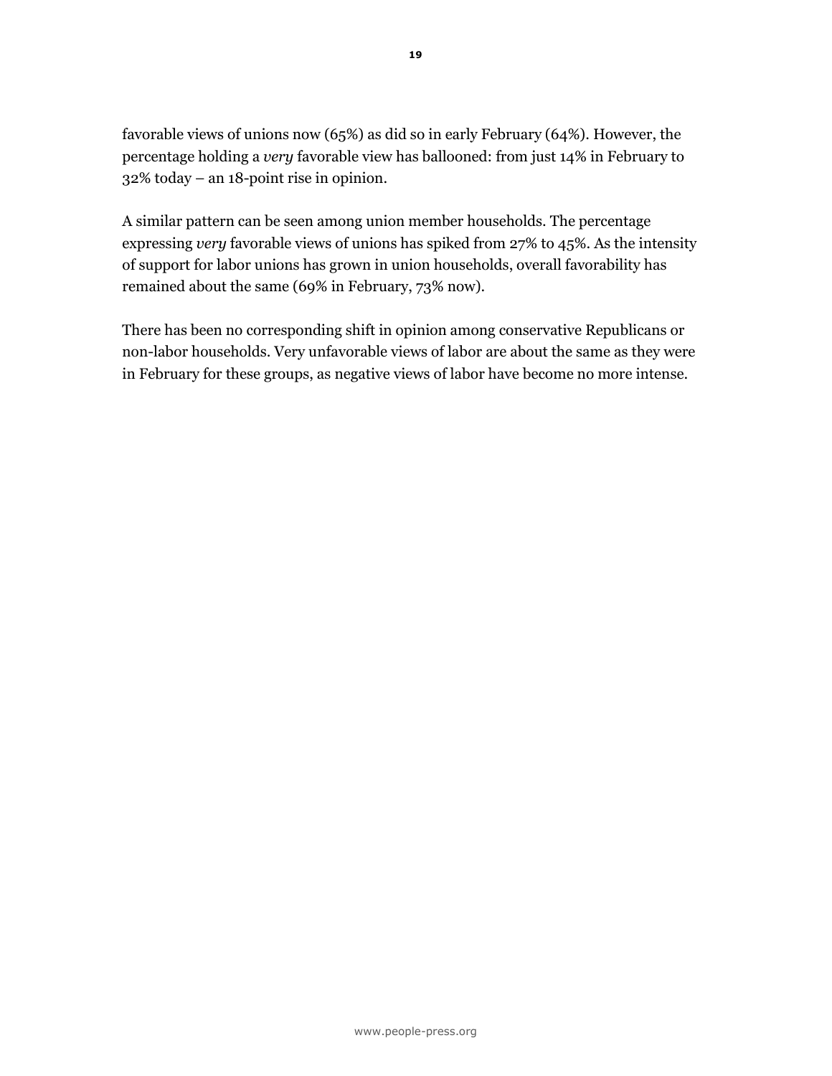favorable views of unions now (65%) as did so in early February (64%). However, the percentage holding a very favorable view has ballooned: from just 14% in February to 32% today – an 18-point rise in opinion.

A similar pattern can be seen among union member households. The percentage expressing very favorable views of unions has spiked from 27% to 45%. As the intensity of support for labor unions has grown in union households, overall favorability has remained about the same (69% in February, 73% now).

There has been no corresponding shift in opinion among conservative Republicans or non-labor households. Very unfavorable views of labor are about the same as they were in February for these groups, as negative views of labor have become no more intense.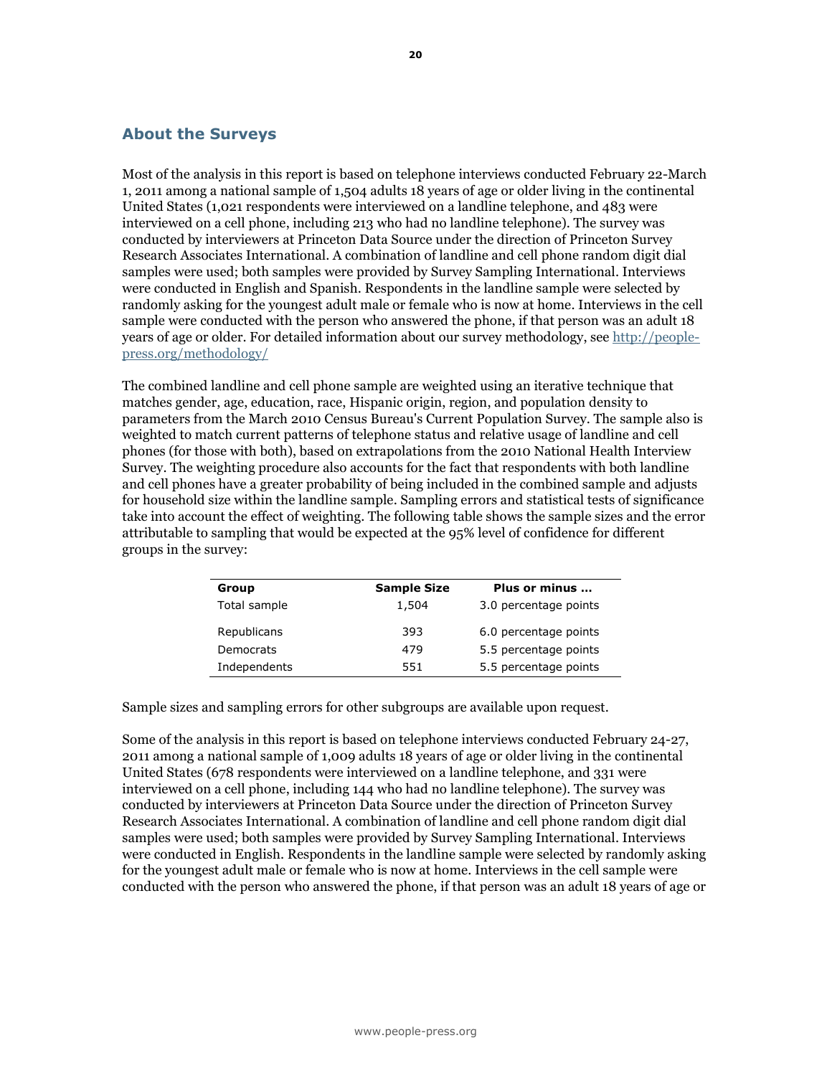#### About the Surveys

Most of the analysis in this report is based on telephone interviews conducted February 22-March 1, 2011 among a national sample of 1,504 adults 18 years of age or older living in the continental United States (1,021 respondents were interviewed on a landline telephone, and 483 were interviewed on a cell phone, including 213 who had no landline telephone). The survey was conducted by interviewers at Princeton Data Source under the direction of Princeton Survey Research Associates International. A combination of landline and cell phone random digit dial samples were used; both samples were provided by Survey Sampling International. Interviews were conducted in English and Spanish. Respondents in the landline sample were selected by randomly asking for the youngest adult male or female who is now at home. Interviews in the cell sample were conducted with the person who answered the phone, if that person was an adult 18 years of age or older. For detailed information about our survey methodology, see http://peoplepress.org/methodology/

The combined landline and cell phone sample are weighted using an iterative technique that matches gender, age, education, race, Hispanic origin, region, and population density to parameters from the March 2010 Census Bureau's Current Population Survey. The sample also is weighted to match current patterns of telephone status and relative usage of landline and cell phones (for those with both), based on extrapolations from the 2010 National Health Interview Survey. The weighting procedure also accounts for the fact that respondents with both landline and cell phones have a greater probability of being included in the combined sample and adjusts for household size within the landline sample. Sampling errors and statistical tests of significance take into account the effect of weighting. The following table shows the sample sizes and the error attributable to sampling that would be expected at the 95% level of confidence for different groups in the survey:

| Group        | <b>Sample Size</b> | Plus or minus         |
|--------------|--------------------|-----------------------|
| Total sample | 1,504              | 3.0 percentage points |
| Republicans  | 393                | 6.0 percentage points |
| Democrats    | 479                | 5.5 percentage points |
| Independents | 551                | 5.5 percentage points |

Sample sizes and sampling errors for other subgroups are available upon request.

Some of the analysis in this report is based on telephone interviews conducted February 24-27, 2011 among a national sample of 1,009 adults 18 years of age or older living in the continental United States (678 respondents were interviewed on a landline telephone, and 331 were interviewed on a cell phone, including 144 who had no landline telephone). The survey was conducted by interviewers at Princeton Data Source under the direction of Princeton Survey Research Associates International. A combination of landline and cell phone random digit dial samples were used; both samples were provided by Survey Sampling International. Interviews were conducted in English. Respondents in the landline sample were selected by randomly asking for the youngest adult male or female who is now at home. Interviews in the cell sample were conducted with the person who answered the phone, if that person was an adult 18 years of age or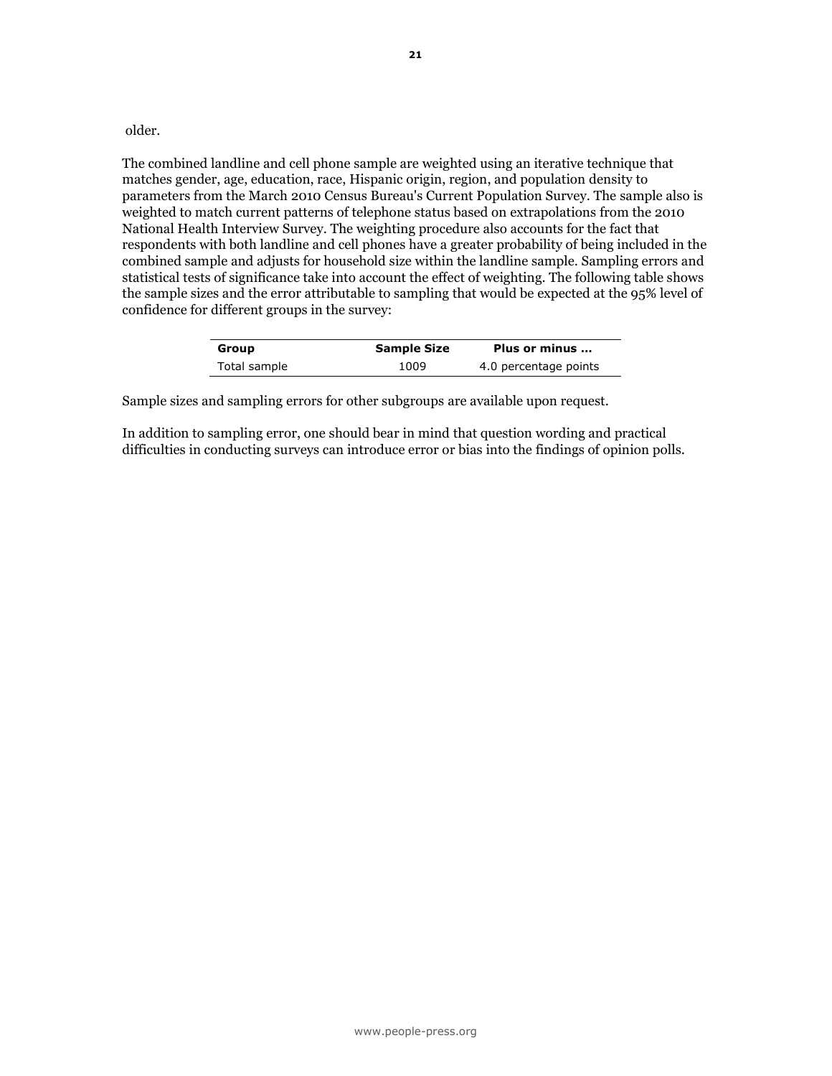older.

The combined landline and cell phone sample are weighted using an iterative technique that matches gender, age, education, race, Hispanic origin, region, and population density to parameters from the March 2010 Census Bureau's Current Population Survey. The sample also is weighted to match current patterns of telephone status based on extrapolations from the 2010 National Health Interview Survey. The weighting procedure also accounts for the fact that respondents with both landline and cell phones have a greater probability of being included in the combined sample and adjusts for household size within the landline sample. Sampling errors and statistical tests of significance take into account the effect of weighting. The following table shows the sample sizes and the error attributable to sampling that would be expected at the 95% level of confidence for different groups in the survey:

| Group        | <b>Sample Size</b> | Plus or minus         |
|--------------|--------------------|-----------------------|
| Total sample | 1009               | 4.0 percentage points |

Sample sizes and sampling errors for other subgroups are available upon request.

In addition to sampling error, one should bear in mind that question wording and practical difficulties in conducting surveys can introduce error or bias into the findings of opinion polls.